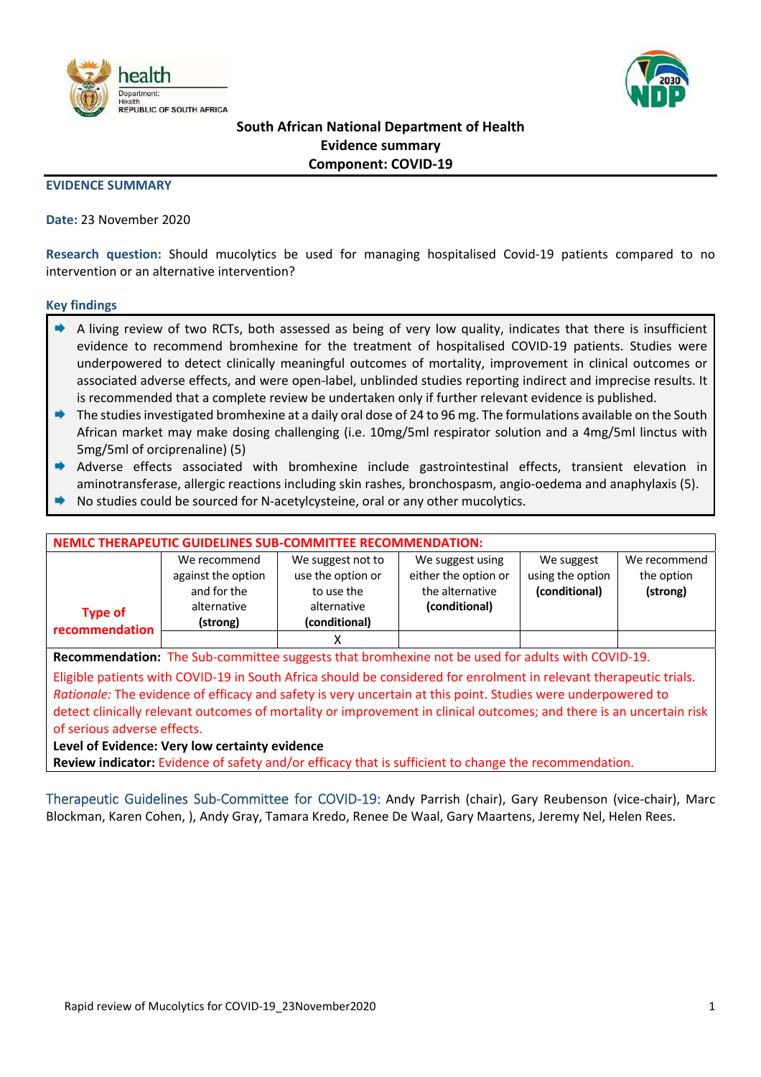



## **South African National Department of Health Evidence summary Component: COVID‐19**

### **EVIDENCE SUMMARY**

### **Date:** 23 November 2020

**Research question:** Should mucolytics be used for managing hospitalised Covid‐19 patients compared to no intervention or an alternative intervention?

### **Key findings**

- A living review of two RCTs, both assessed as being of very low quality, indicates that there is insufficient evidence to recommend bromhexine for the treatment of hospitalised COVID‐19 patients. Studies were underpowered to detect clinically meaningful outcomes of mortality, improvement in clinical outcomes or associated adverse effects, and were open‐label, unblinded studies reporting indirect and imprecise results. It is recommended that a complete review be undertaken only if further relevant evidence is published.
- The studies investigated bromhexine at a daily oral dose of 24 to 96 mg. The formulations available on the South African market may make dosing challenging (i.e. 10mg/5ml respirator solution and a 4mg/5ml linctus with 5mg/5ml of orciprenaline) (5)
- Adverse effects associated with bromhexine include gastrointestinal effects, transient elevation in aminotransferase, allergic reactions including skin rashes, bronchospasm, angio‐oedema and anaphylaxis (5).
- No studies could be sourced for N‐acetylcysteine, oral or any other mucolytics.

| NEMLC THERAPEUTIC GUIDELINES SUB-COMMITTEE RECOMMENDATION:                                                           |                         |                                                      |                                                             |                                                 |                                        |  |  |
|----------------------------------------------------------------------------------------------------------------------|-------------------------|------------------------------------------------------|-------------------------------------------------------------|-------------------------------------------------|----------------------------------------|--|--|
| We recommend<br>against the option<br>and for the                                                                    |                         | We suggest not to<br>use the option or<br>to use the | We suggest using<br>either the option or<br>the alternative | We suggest<br>using the option<br>(conditional) | We recommend<br>the option<br>(strong) |  |  |
| <b>Type of</b><br>recommendation                                                                                     | alternative<br>(strong) | alternative<br>(conditional)                         | (conditional)                                               |                                                 |                                        |  |  |
|                                                                                                                      |                         | х                                                    |                                                             |                                                 |                                        |  |  |
| Recommendation: The Sub-committee suggests that bromhexine not be used for adults with COVID-19.                     |                         |                                                      |                                                             |                                                 |                                        |  |  |
| Eligible patients with COVID-19 in South Africa should be considered for enrolment in relevant therapeutic trials.   |                         |                                                      |                                                             |                                                 |                                        |  |  |
| Rationale: The evidence of efficacy and safety is very uncertain at this point. Studies were underpowered to         |                         |                                                      |                                                             |                                                 |                                        |  |  |
| detect clinically relevant outcomes of mortality or improvement in clinical outcomes; and there is an uncertain risk |                         |                                                      |                                                             |                                                 |                                        |  |  |

of serious adverse effects.

**Level of Evidence: Very low certainty evidence** 

**Review indicator:** Evidence of safety and/or efficacy that is sufficient to change the recommendation.

Therapeutic Guidelines Sub‐Committee for COVID‐19: Andy Parrish (chair), Gary Reubenson (vice‐chair), Marc Blockman, Karen Cohen, ), Andy Gray, Tamara Kredo, Renee De Waal, Gary Maartens, Jeremy Nel, Helen Rees.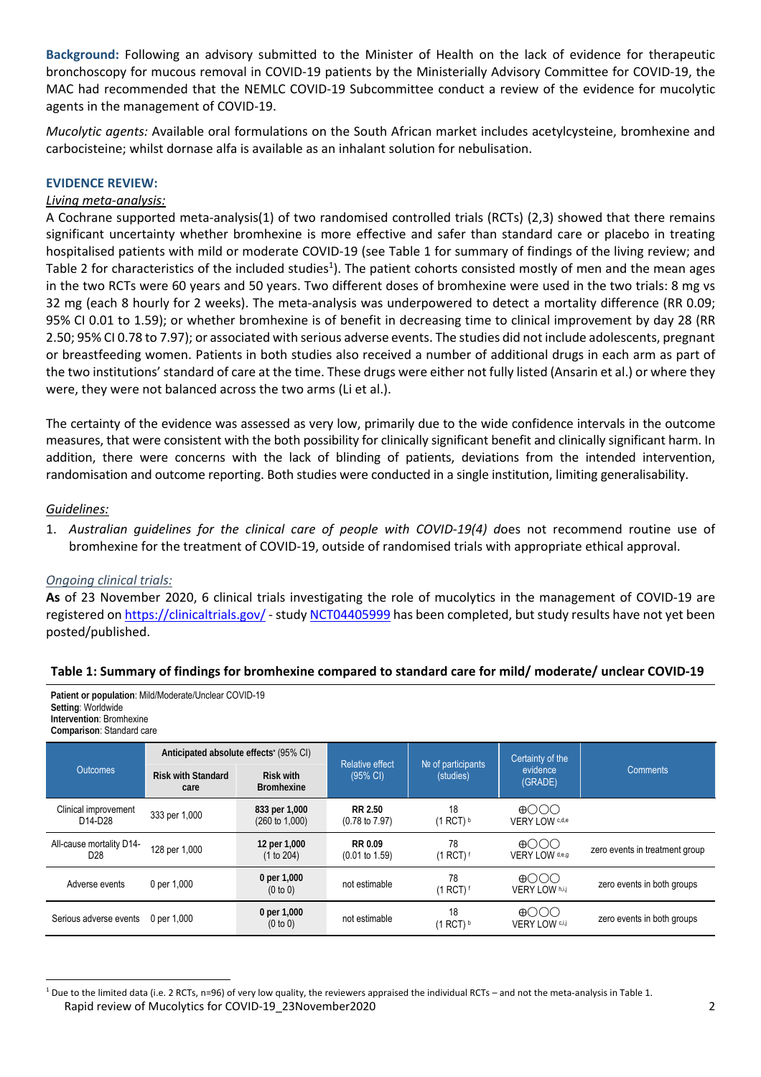**Background:** Following an advisory submitted to the Minister of Health on the lack of evidence for therapeutic bronchoscopy for mucous removal in COVID‐19 patients by the Ministerially Advisory Committee for COVID‐19, the MAC had recommended that the NEMLC COVID‐19 Subcommittee conduct a review of the evidence for mucolytic agents in the management of COVID‐19.

*Mucolytic agents:* Available oral formulations on the South African market includes acetylcysteine, bromhexine and carbocisteine; whilst dornase alfa is available as an inhalant solution for nebulisation.

## **EVIDENCE REVIEW:**

### *Living meta‐analysis:*

A Cochrane supported meta‐analysis(1) of two randomised controlled trials (RCTs) (2,3) showed that there remains significant uncertainty whether bromhexine is more effective and safer than standard care or placebo in treating hospitalised patients with mild or moderate COVID-19 (see Table 1 for summary of findings of the living review; and Table 2 for characteristics of the included studies<sup>1</sup>). The patient cohorts consisted mostly of men and the mean ages in the two RCTs were 60 years and 50 years. Two different doses of bromhexine were used in the two trials: 8 mg vs 32 mg (each 8 hourly for 2 weeks). The meta-analysis was underpowered to detect a mortality difference (RR 0.09; 95% CI 0.01 to 1.59); or whether bromhexine is of benefit in decreasing time to clinical improvement by day 28 (RR 2.50; 95% CI 0.78 to 7.97); or associated with serious adverse events. The studies did not include adolescents, pregnant or breastfeeding women. Patients in both studies also received a number of additional drugs in each arm as part of the two institutions' standard of care at the time. These drugs were either not fully listed (Ansarin et al.) or where they were, they were not balanced across the two arms (Li et al.).

The certainty of the evidence was assessed as very low, primarily due to the wide confidence intervals in the outcome measures, that were consistent with the both possibility for clinically significant benefit and clinically significant harm. In addition, there were concerns with the lack of blinding of patients, deviations from the intended intervention, randomisation and outcome reporting. Both studies were conducted in a single institution, limiting generalisability.

### *Guidelines:*

1. Australian quidelines for the clinical care of people with COVID-19(4) does not recommend routine use of bromhexine for the treatment of COVID‐19, outside of randomised trials with appropriate ethical approval.

### *Ongoing clinical trials:*

**As** of 23 November 2020, 6 clinical trials investigating the role of mucolytics in the management of COVID‐19 are registered on https://clinicaltrials.gov/ ‐ study NCT04405999 has been completed, but study results have not yet been posted/published.

### **Table 1: Summary of findings for bromhexine compared to standard care for mild/ moderate/ unclear COVID‐19**

**Patient or population**: Mild/Moderate/Unclear COVID-19 **Setting**: Worldwide **Intervention**: Bromhexine **Comparison**: Standard care

| <b>Outcomes</b>                                          | Anticipated absolute effects' (95% CI) |                                            | <b>Relative effect</b>               | $N2$ of participants                      | Certainty of the                     |                                |
|----------------------------------------------------------|----------------------------------------|--------------------------------------------|--------------------------------------|-------------------------------------------|--------------------------------------|--------------------------------|
|                                                          | <b>Risk with Standard</b><br>care      | Risk with<br><b>Bromhexine</b>             | $(95\% \text{ Cl})$                  | (studies)                                 | evidence<br>(GRADE)                  | Comments                       |
| Clinical improvement<br>D <sub>14</sub> -D <sub>28</sub> | 333 per 1,000                          | 833 per 1,000<br>$(260 \text{ to } 1,000)$ | RR 2.50<br>$(0.78 \text{ to } 7.97)$ | 18<br>$(1$ RCT) $b$                       | $\bigoplus$<br>VERY LOW c,d,e        |                                |
| All-cause mortality D14-<br>D <sub>28</sub>              | 128 per 1,000                          | 12 per 1,000<br>(1 to 204)                 | RR 0.09<br>$(0.01 \text{ to } 1.59)$ | 78<br>$(1$ RCT) <sup><math>f</math></sup> | $\bigoplus$<br>VERY LOW d,e,g        | zero events in treatment group |
| Adverse events                                           | 0 per 1,000                            | 0 per 1,000<br>(0 to 0)                    | not estimable                        | 78<br>$(1$ RCT) $f$                       | $\bigoplus$<br>VERY LOW h,i,j        | zero events in both groups     |
| Serious adverse events                                   | 0 per 1.000                            | 0 per 1,000<br>(0 to 0)                    | not estimable                        | 18<br>$(1$ RCT) $b$                       | $\bigoplus$<br><b>VERY LOW</b> C,i,j | zero events in both groups     |

Rapid review of Mucolytics for COVID‐19\_23November2020 2 <sup>1</sup> Due to the limited data (i.e. 2 RCTs, n=96) of very low quality, the reviewers appraised the individual RCTs – and not the meta-analysis in Table 1.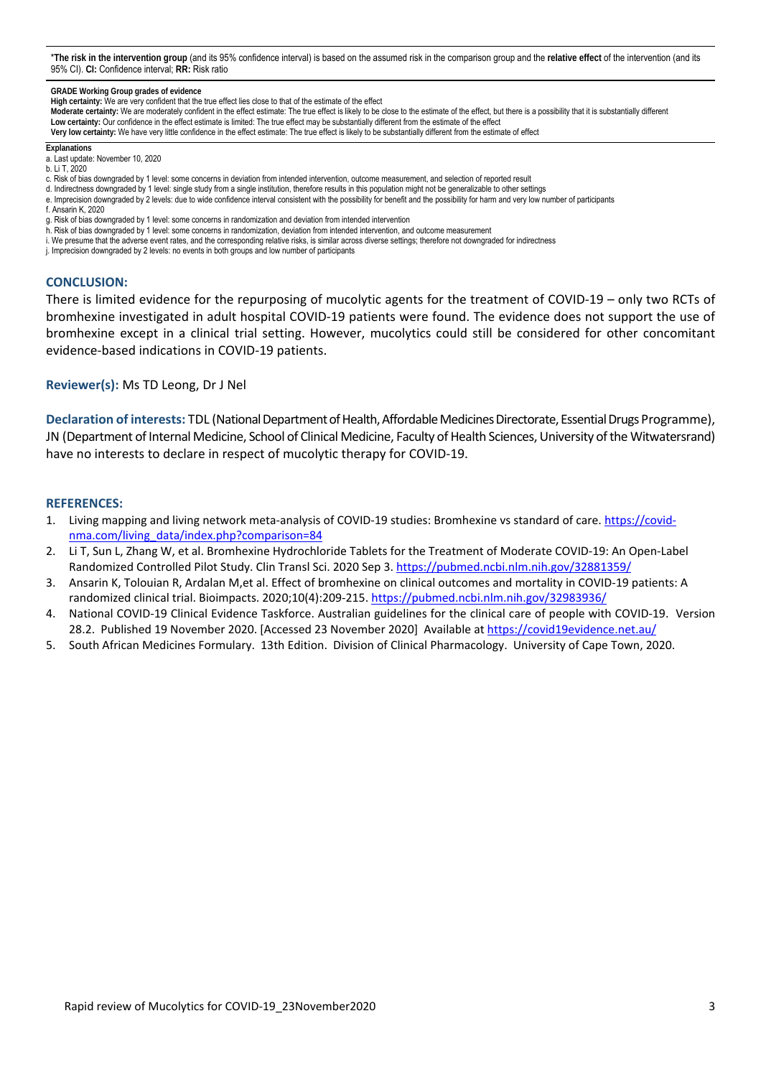\***The risk in the intervention group** (and its 95% confidence interval) is based on the assumed risk in the comparison group and the **relative effect** of the intervention (and its 95% CI). **CI:** Confidence interval; **RR:** Risk ratio

**GRADE Working Group grades of evidence**

- **High certainty:** We are very confident that the true effect lies close to that of the estimate of the effect
- **Moderate certainty:** We are moderately confident in the effect estimate: The true effect is likely to be close to the estimate of the effect, but there is a possibility that it is substantially different **Low certainty:** Our confidence in the effect estimate is limited: The true effect may be substantially different from the estimate of the effect
- **Very low certainty:** We have very little confidence in the effect estimate: The true effect is likely to be substantially different from the estimate of effect
- **Explanations**  a. Last update: November 10, 2020
- b. Li T, 2020
- c. Risk of bias downgraded by 1 level: some concerns in deviation from intended intervention, outcome measurement, and selection of reported result
- d. Indirectness downgraded by 1 level: single study from a single institution, therefore results in this population might not be generalizable to other settings
- e. Imprecision downgraded by 2 levels: due to wide confidence interval consistent with the possibility for benefit and the possibility for harm and very low number of participants
- f. Ansarin K, 2020
- g. Risk of bias downgraded by 1 level: some concerns in randomization and deviation from intended intervention
- h. Risk of bias downgraded by 1 level: some concerns in randomization, deviation from intended intervention, and outcome measurement
- i. We presume that the adverse event rates, and the corresponding relative risks, is similar across diverse settings; therefore not downgraded for indirectness
- j. Imprecision downgraded by 2 levels: no events in both groups and low number of participants

#### **CONCLUSION:**

There is limited evidence for the repurposing of mucolytic agents for the treatment of COVID‐19 – only two RCTs of bromhexine investigated in adult hospital COVID‐19 patients were found. The evidence does not support the use of bromhexine except in a clinical trial setting. However, mucolytics could still be considered for other concomitant evidence‐based indications in COVID‐19 patients.

### **Reviewer(s):** Ms TD Leong, Dr J Nel

**Declaration of interests:** TDL (National Department of Health, Affordable Medicines Directorate, Essential Drugs Programme), JN (Department of Internal Medicine, School of Clinical Medicine, Faculty of Health Sciences, University of the Witwatersrand) have no interests to declare in respect of mucolytic therapy for COVID‐19.

#### **REFERENCES:**

- 1. Living mapping and living network meta-analysis of COVID-19 studies: Bromhexine vs standard of care. https://covidnma.com/living\_data/index.php?comparison=84
- 2. Li T, Sun L, Zhang W, et al. Bromhexine Hydrochloride Tablets for the Treatment of Moderate COVID‐19: An Open‐Label Randomized Controlled Pilot Study. Clin Transl Sci. 2020 Sep 3. https://pubmed.ncbi.nlm.nih.gov/32881359/
- 3. Ansarin K, Tolouian R, Ardalan M,et al. Effect of bromhexine on clinical outcomes and mortality in COVID‐19 patients: A randomized clinical trial. Bioimpacts. 2020;10(4):209‐215. https://pubmed.ncbi.nlm.nih.gov/32983936/
- 4. National COVID‐19 Clinical Evidence Taskforce. Australian guidelines for the clinical care of people with COVID‐19. Version 28.2. Published 19 November 2020. [Accessed 23 November 2020] Available at https://covid19evidence.net.au/
- 5. South African Medicines Formulary. 13th Edition. Division of Clinical Pharmacology. University of Cape Town, 2020.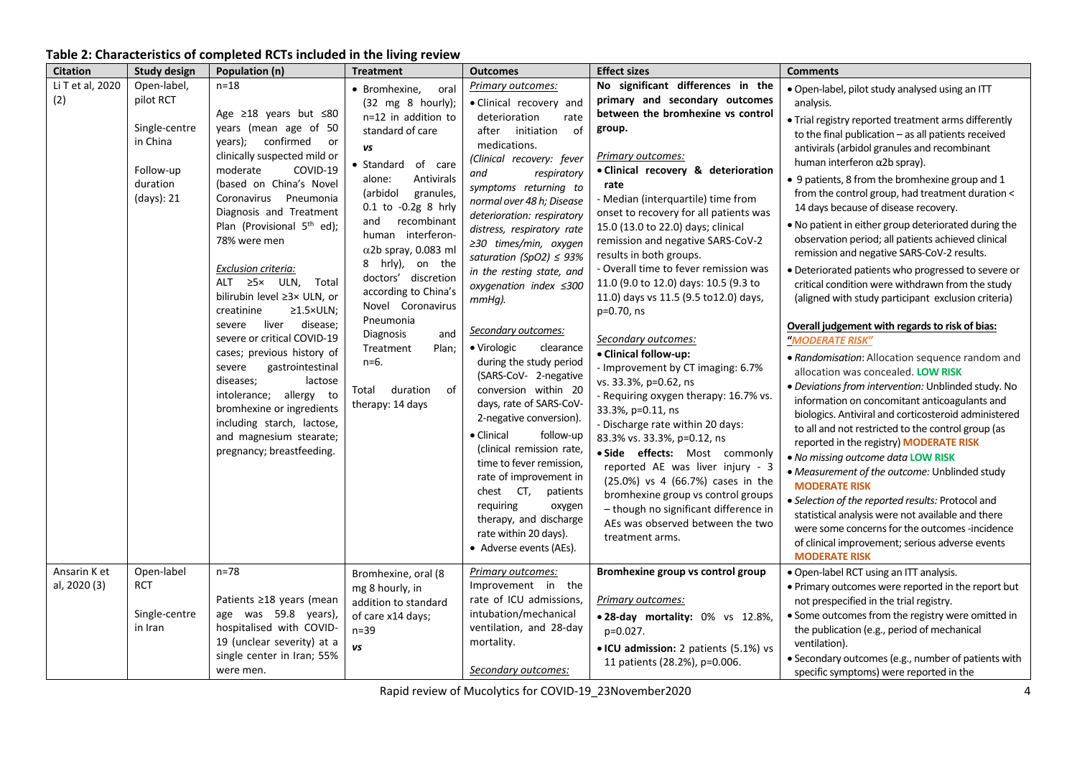# **Table 2: Characteristics of completed RCTs included in the living review**

| <b>Citation</b>              | <b>Study design</b>                                                                          | Population (n)                                                                                                                                                                                                                                                                                                                                                                                                                                                                                                                                                                                                                                                                                                     | <b>Treatment</b>                                                                                                                                                                                                                                                                                                                                                                                                                                                                            | <b>Outcomes</b>                                                                                                                                                                                                                                                                                                                                                                                                                                                                                                                                                                                                                                                                                                                                                                                                                                                 | <b>Effect sizes</b>                                                                                                                                                                                                                                                                                                                                                                                                                                                                                                                                                                                                                                                                                                                                                                                                                                                                                                                                                                                                  | <b>Comments</b>                                                                                                                                                                                                                                                                                                                                                                                                                                                                                                                                                                                                                                                                                                                                                                                                                                                                                                                                                                                                                                                                                                                                                                                                                                                                                                                                                                                                                                                                                                                        |
|------------------------------|----------------------------------------------------------------------------------------------|--------------------------------------------------------------------------------------------------------------------------------------------------------------------------------------------------------------------------------------------------------------------------------------------------------------------------------------------------------------------------------------------------------------------------------------------------------------------------------------------------------------------------------------------------------------------------------------------------------------------------------------------------------------------------------------------------------------------|---------------------------------------------------------------------------------------------------------------------------------------------------------------------------------------------------------------------------------------------------------------------------------------------------------------------------------------------------------------------------------------------------------------------------------------------------------------------------------------------|-----------------------------------------------------------------------------------------------------------------------------------------------------------------------------------------------------------------------------------------------------------------------------------------------------------------------------------------------------------------------------------------------------------------------------------------------------------------------------------------------------------------------------------------------------------------------------------------------------------------------------------------------------------------------------------------------------------------------------------------------------------------------------------------------------------------------------------------------------------------|----------------------------------------------------------------------------------------------------------------------------------------------------------------------------------------------------------------------------------------------------------------------------------------------------------------------------------------------------------------------------------------------------------------------------------------------------------------------------------------------------------------------------------------------------------------------------------------------------------------------------------------------------------------------------------------------------------------------------------------------------------------------------------------------------------------------------------------------------------------------------------------------------------------------------------------------------------------------------------------------------------------------|----------------------------------------------------------------------------------------------------------------------------------------------------------------------------------------------------------------------------------------------------------------------------------------------------------------------------------------------------------------------------------------------------------------------------------------------------------------------------------------------------------------------------------------------------------------------------------------------------------------------------------------------------------------------------------------------------------------------------------------------------------------------------------------------------------------------------------------------------------------------------------------------------------------------------------------------------------------------------------------------------------------------------------------------------------------------------------------------------------------------------------------------------------------------------------------------------------------------------------------------------------------------------------------------------------------------------------------------------------------------------------------------------------------------------------------------------------------------------------------------------------------------------------------|
| Li T et al, 2020<br>(2)      | Open-label,<br>pilot RCT<br>Single-centre<br>in China<br>Follow-up<br>duration<br>(days): 21 | $n = 18$<br>Age ≥18 years but ≤80<br>years (mean age of 50<br>years); confirmed or<br>clinically suspected mild or<br>COVID-19<br>moderate<br>(based on China's Novel<br>Coronavirus<br>Pneumonia<br>Diagnosis and Treatment<br>Plan (Provisional 5 <sup>th</sup> ed);<br>78% were men<br>Exclusion criteria:<br>ALT $\geq 5 \times$ ULN,<br>Total<br>bilirubin level ≥3× ULN, or<br>creatinine<br>$\geq$ 1.5×ULN;<br>liver<br>disease;<br>severe<br>severe or critical COVID-19<br>cases; previous history of<br>severe<br>gastrointestinal<br>diseases;<br>lactose<br>intolerance; allergy to<br>bromhexine or ingredients<br>including starch, lactose,<br>and magnesium stearate;<br>pregnancy; breastfeeding. | • Bromhexine,<br>oral<br>$(32 \text{ mg } 8 \text{ hourly})$ ;<br>n=12 in addition to<br>standard of care<br>VS<br>· Standard of care<br>Antivirals<br>alone:<br>(arbidol<br>granules,<br>0.1 to -0.2g 8 hrly<br>and recombinant<br>human interferon-<br>$\alpha$ 2b spray, 0.083 ml<br>8 hrly), on the<br>doctors' discretion<br>according to China's<br>Novel Coronavirus<br>Pneumonia<br>Diagnosis<br>and<br>Treatment<br>Plan;<br>$n=6.$<br>Total<br>duration<br>of<br>therapy: 14 days | <b>Primary outcomes:</b><br>• Clinical recovery and<br>deterioration<br>rate<br>of<br>after initiation<br>medications.<br>(Clinical recovery: fever<br>and<br>respiratory<br>symptoms returning to<br>normal over 48 h; Disease<br>deterioration: respiratory<br>distress, respiratory rate<br>≥30 times/min, oxygen<br>saturation (SpO2) $\leq$ 93%<br>in the resting state, and<br>oxygenation index $\leq 300$<br>$mmHq$ ).<br>Secondary outcomes:<br>• Virologic<br>clearance<br>during the study period<br>(SARS-CoV- 2-negative<br>conversion within 20<br>days, rate of SARS-CoV-<br>2-negative conversion).<br>• Clinical<br>follow-up<br>(clinical remission rate,<br>time to fever remission,<br>rate of improvement in<br>chest CT,<br>patients<br>requiring<br>oxygen<br>therapy, and discharge<br>rate within 20 days).<br>• Adverse events (AEs). | No significant differences in the<br>primary and secondary outcomes<br>between the bromhexine vs control<br>group.<br>Primary outcomes:<br>· Clinical recovery & deterioration<br>rate<br>- Median (interquartile) time from<br>onset to recovery for all patients was<br>15.0 (13.0 to 22.0) days; clinical<br>remission and negative SARS-CoV-2<br>results in both groups.<br>- Overall time to fever remission was<br>11.0 (9.0 to 12.0) days: 10.5 (9.3 to<br>11.0) days vs 11.5 (9.5 to12.0) days,<br>p=0.70, ns<br>Secondary outcomes:<br>• Clinical follow-up:<br>- Improvement by CT imaging: 6.7%<br>vs. 33.3%, p=0.62, ns<br>- Requiring oxygen therapy: 16.7% vs.<br>33.3%, p=0.11, ns<br>- Discharge rate within 20 days:<br>83.3% vs. 33.3%, p=0.12, ns<br>· Side effects: Most commonly<br>reported AE was liver injury - 3<br>(25.0%) vs 4 (66.7%) cases in the<br>bromhexine group vs control groups<br>- though no significant difference in<br>AEs was observed between the two<br>treatment arms. | · Open-label, pilot study analysed using an ITT<br>analysis.<br>. Trial registry reported treatment arms differently<br>to the final publication - as all patients received<br>antivirals (arbidol granules and recombinant<br>human interferon $\alpha$ 2b spray).<br>• 9 patients, 8 from the bromhexine group and 1<br>from the control group, had treatment duration <<br>14 days because of disease recovery.<br>. No patient in either group deteriorated during the<br>observation period; all patients achieved clinical<br>remission and negative SARS-CoV-2 results.<br>• Deteriorated patients who progressed to severe or<br>critical condition were withdrawn from the study<br>(aligned with study participant exclusion criteria)<br>Overall judgement with regards to risk of bias:<br>"MODERATE RISK"<br>· Randomisation: Allocation sequence random and<br>allocation was concealed. LOW RISK<br>· Deviations from intervention: Unblinded study. No<br>information on concomitant anticoagulants and<br>biologics. Antiviral and corticosteroid administered<br>to all and not restricted to the control group (as<br>reported in the registry) MODERATE RISK<br>. No missing outcome data LOW RISK<br>• Measurement of the outcome: Unblinded study<br><b>MODERATE RISK</b><br>• Selection of the reported results: Protocol and<br>statistical analysis were not available and there<br>were some concerns for the outcomes -incidence<br>of clinical improvement; serious adverse events<br><b>MODERATE RISK</b> |
| Ansarin K et<br>al, 2020 (3) | Open-label<br><b>RCT</b><br>Single-centre<br>in Iran                                         | $n=78$<br>Patients ≥18 years (mean<br>age was 59.8 years),<br>hospitalised with COVID-<br>19 (unclear severity) at a<br>single center in Iran; 55%<br>were men.                                                                                                                                                                                                                                                                                                                                                                                                                                                                                                                                                    | Bromhexine, oral (8<br>mg 8 hourly, in<br>addition to standard<br>of care x14 days;<br>$n=39$<br>vs                                                                                                                                                                                                                                                                                                                                                                                         | Primary outcomes:<br>Improvement in the<br>rate of ICU admissions,<br>intubation/mechanical<br>ventilation, and 28-day<br>mortality.<br>Secondary outcomes:                                                                                                                                                                                                                                                                                                                                                                                                                                                                                                                                                                                                                                                                                                     | Bromhexine group vs control group<br>Primary outcomes:<br>. 28-day mortality: 0% vs 12.8%,<br>p=0.027.<br>• ICU admission: 2 patients (5.1%) vs<br>11 patients (28.2%), p=0.006.                                                                                                                                                                                                                                                                                                                                                                                                                                                                                                                                                                                                                                                                                                                                                                                                                                     | · Open-label RCT using an ITT analysis.<br>. Primary outcomes were reported in the report but<br>not prespecified in the trial registry.<br>• Some outcomes from the registry were omitted in<br>the publication (e.g., period of mechanical<br>ventilation).<br>· Secondary outcomes (e.g., number of patients with<br>specific symptoms) were reported in the                                                                                                                                                                                                                                                                                                                                                                                                                                                                                                                                                                                                                                                                                                                                                                                                                                                                                                                                                                                                                                                                                                                                                                        |

Rapid review of Mucolytics for COVID‐19\_23November2020 4